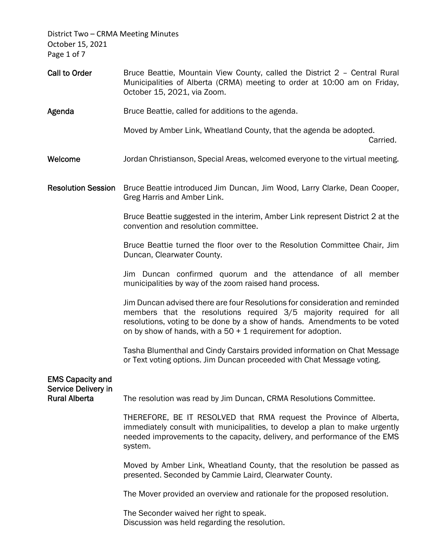District Two – CRMA Meeting Minutes October 15, 2021 Page 1 of 7

- Call to Order **Bruce Beattie, Mountain View County, called the District 2 Central Rural** Municipalities of Alberta (CRMA) meeting to order at 10:00 am on Friday, October 15, 2021, via Zoom.
- Agenda Bruce Beattie, called for additions to the agenda.

Moved by Amber Link, Wheatland County, that the agenda be adopted.

**Carried.** The contract of the contract of the contract of the contract of the contract of the contract of the contract of the contract of the contract of the contract of the contract of the contract of the contract of the

- Welcome **State States Jordan Christianson, Special Areas, welcomed everyone to the virtual meeting.**
- Resolution Session Bruce Beattie introduced Jim Duncan, Jim Wood, Larry Clarke, Dean Cooper, Greg Harris and Amber Link.

 Bruce Beattie suggested in the interim, Amber Link represent District 2 at the convention and resolution committee.

 Bruce Beattie turned the floor over to the Resolution Committee Chair, Jim Duncan, Clearwater County.

 Jim Duncan confirmed quorum and the attendance of all member municipalities by way of the zoom raised hand process.

 Jim Duncan advised there are four Resolutions for consideration and reminded members that the resolutions required 3/5 majority required for all resolutions, voting to be done by a show of hands. Amendments to be voted on by show of hands, with a  $50 + 1$  requirement for adoption.

 Tasha Blumenthal and Cindy Carstairs provided information on Chat Message or Text voting options. Jim Duncan proceeded with Chat Message voting.

| <b>EMS Capacity and</b><br>Service Delivery in |                                                                                                                                                                                                                                            |
|------------------------------------------------|--------------------------------------------------------------------------------------------------------------------------------------------------------------------------------------------------------------------------------------------|
| <b>Rural Alberta</b>                           | The resolution was read by Jim Duncan, CRMA Resolutions Committee.                                                                                                                                                                         |
|                                                | THEREFORE, BE IT RESOLVED that RMA request the Province of Alberta,<br>immediately consult with municipalities, to develop a plan to make urgently<br>needed improvements to the capacity, delivery, and performance of the EMS<br>system. |
|                                                | Moved by Amber Link, Wheatland County, that the resolution be passed as<br>presented. Seconded by Cammie Laird, Clearwater County.                                                                                                         |
|                                                | The Mover provided an overview and rationale for the proposed resolution.                                                                                                                                                                  |
|                                                | The Seconder waived her right to speak.<br>Discussion was held regarding the resolution.                                                                                                                                                   |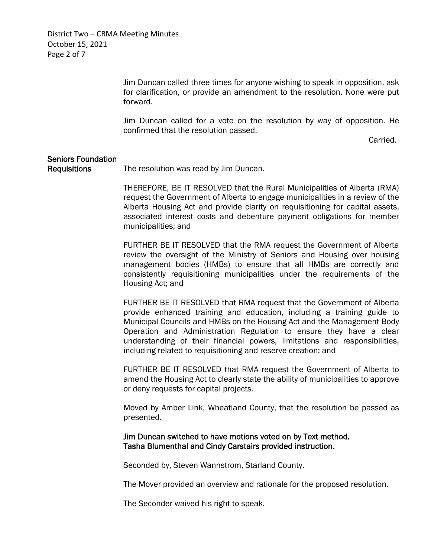District Two – CRMA Meeting Minutes October 15, 2021 Page 2 of 7

> Jim Duncan called three times for anyone wishing to speak in opposition, ask for clarification, or provide an amendment to the resolution. None were put forward.

> Jim Duncan called for a vote on the resolution by way of opposition. He confirmed that the resolution passed.

**Carried.** The contract of the contract of the contract of the contract of the contract of the contract of the contract of the contract of the contract of the contract of the contract of the contract of the contract of the

## Seniors Foundation Requisitions The resolution was read by Jim Duncan.

 THEREFORE, BE IT RESOLVED that the Rural Municipalities of Alberta (RMA) request the Government of Alberta to engage municipalities in a review of the Alberta Housing Act and provide clarity on requisitioning for capital assets, associated interest costs and debenture payment obligations for member municipalities; and

 FURTHER BE IT RESOLVED that the RMA request the Government of Alberta review the oversight of the Ministry of Seniors and Housing over housing management bodies (HMBs) to ensure that all HMBs are correctly and consistently requisitioning municipalities under the requirements of the Housing Act; and

 FURTHER BE IT RESOLVED that RMA request that the Government of Alberta provide enhanced training and education, including a training guide to Municipal Councils and HMBs on the Housing Act and the Management Body Operation and Administration Regulation to ensure they have a clear understanding of their financial powers, limitations and responsibilities, including related to requisitioning and reserve creation; and

 FURTHER BE IT RESOLVED that RMA request the Government of Alberta to amend the Housing Act to clearly state the ability of municipalities to approve or deny requests for capital projects.

 Moved by Amber Link, Wheatland County, that the resolution be passed as presented.

## Jim Duncan switched to have motions voted on by Text method. Tasha Blumenthal and Cindy Carstairs provided instruction.

Seconded by, Steven Wannstrom, Starland County.

The Mover provided an overview and rationale for the proposed resolution.

The Seconder waived his right to speak.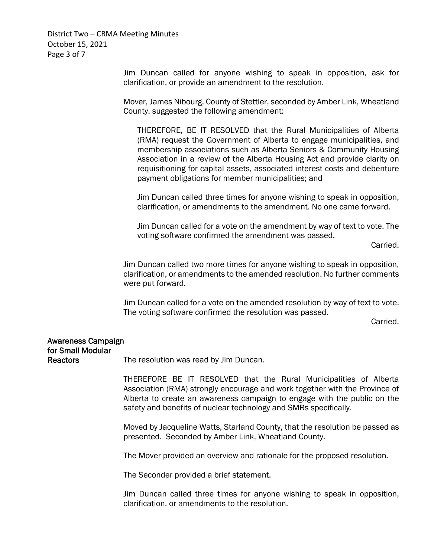District Two – CRMA Meeting Minutes October 15, 2021 Page 3 of 7

> Jim Duncan called for anyone wishing to speak in opposition, ask for clarification, or provide an amendment to the resolution.

> Mover, James Nibourg, County of Stettler, seconded by Amber Link, Wheatland County. suggested the following amendment:

 THEREFORE, BE IT RESOLVED that the Rural Municipalities of Alberta (RMA) request the Government of Alberta to engage municipalities, and membership associations such as Alberta Seniors & Community Housing Association in a review of the Alberta Housing Act and provide clarity on requisitioning for capital assets, associated interest costs and debenture payment obligations for member municipalities; and

Jim Duncan called three times for anyone wishing to speak in opposition, clarification, or amendments to the amendment. No one came forward.

Jim Duncan called for a vote on the amendment by way of text to vote. The voting software confirmed the amendment was passed.

Carried.

 Jim Duncan called two more times for anyone wishing to speak in opposition, clarification, or amendments to the amended resolution. No further comments were put forward.

 Jim Duncan called for a vote on the amended resolution by way of text to vote. The voting software confirmed the resolution was passed.

Carried.

## Awareness Campaign for Small Modular

Reactors The resolution was read by Jim Duncan.

 THEREFORE BE IT RESOLVED that the Rural Municipalities of Alberta Association (RMA) strongly encourage and work together with the Province of Alberta to create an awareness campaign to engage with the public on the safety and benefits of nuclear technology and SMRs specifically.

 Moved by Jacqueline Watts, Starland County, that the resolution be passed as presented. Seconded by Amber Link, Wheatland County.

The Mover provided an overview and rationale for the proposed resolution.

The Seconder provided a brief statement.

 Jim Duncan called three times for anyone wishing to speak in opposition, clarification, or amendments to the resolution.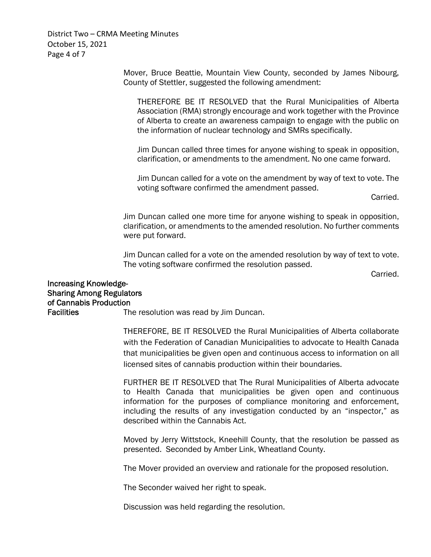District Two – CRMA Meeting Minutes October 15, 2021 Page 4 of 7

> Mover, Bruce Beattie, Mountain View County, seconded by James Nibourg, County of Stettler, suggested the following amendment:

 THEREFORE BE IT RESOLVED that the Rural Municipalities of Alberta Association (RMA) strongly encourage and work together with the Province of Alberta to create an awareness campaign to engage with the public on the information of nuclear technology and SMRs specifically.

Jim Duncan called three times for anyone wishing to speak in opposition, clarification, or amendments to the amendment. No one came forward.

Jim Duncan called for a vote on the amendment by way of text to vote. The voting software confirmed the amendment passed.

Carried.

 Jim Duncan called one more time for anyone wishing to speak in opposition, clarification, or amendments to the amended resolution. No further comments were put forward.

 Jim Duncan called for a vote on the amended resolution by way of text to vote. The voting software confirmed the resolution passed.

Carried.

## Increasing Knowledge-Sharing Among Regulators of Cannabis Production

Facilities The resolution was read by Jim Duncan.

THEREFORE, BE IT RESOLVED the Rural Municipalities of Alberta collaborate with the Federation of Canadian Municipalities to advocate to Health Canada that municipalities be given open and continuous access to information on all licensed sites of cannabis production within their boundaries.

 FURTHER BE IT RESOLVED that The Rural Municipalities of Alberta advocate to Health Canada that municipalities be given open and continuous information for the purposes of compliance monitoring and enforcement, including the results of any investigation conducted by an "inspector," as described within the Cannabis Act.

 Moved by Jerry Wittstock, Kneehill County, that the resolution be passed as presented. Seconded by Amber Link, Wheatland County.

The Mover provided an overview and rationale for the proposed resolution.

The Seconder waived her right to speak.

Discussion was held regarding the resolution.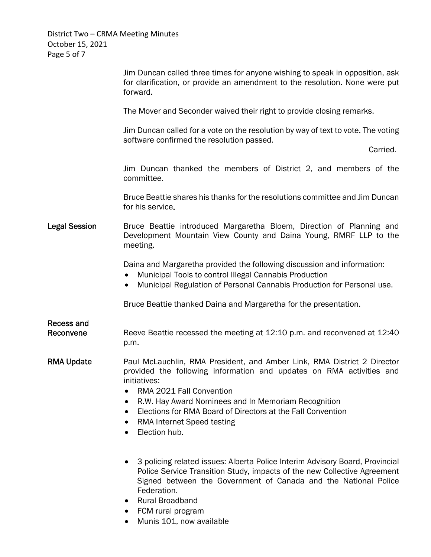District Two – CRMA Meeting Minutes October 15, 2021 Page 5 of 7

|                                | Jim Duncan called three times for anyone wishing to speak in opposition, ask<br>for clarification, or provide an amendment to the resolution. None were put<br>forward.                                                                                                                                                                                                 |
|--------------------------------|-------------------------------------------------------------------------------------------------------------------------------------------------------------------------------------------------------------------------------------------------------------------------------------------------------------------------------------------------------------------------|
|                                | The Mover and Seconder waived their right to provide closing remarks.                                                                                                                                                                                                                                                                                                   |
|                                | Jim Duncan called for a vote on the resolution by way of text to vote. The voting<br>software confirmed the resolution passed.                                                                                                                                                                                                                                          |
|                                | Carried.                                                                                                                                                                                                                                                                                                                                                                |
|                                | Jim Duncan thanked the members of District 2, and members of the<br>committee.                                                                                                                                                                                                                                                                                          |
|                                | Bruce Beattie shares his thanks for the resolutions committee and Jim Duncan<br>for his service.                                                                                                                                                                                                                                                                        |
| <b>Legal Session</b>           | Bruce Beattie introduced Margaretha Bloem, Direction of Planning and<br>Development Mountain View County and Daina Young, RMRF LLP to the<br>meeting.                                                                                                                                                                                                                   |
|                                | Daina and Margaretha provided the following discussion and information:<br>Municipal Tools to control Illegal Cannabis Production<br>Municipal Regulation of Personal Cannabis Production for Personal use.<br>$\bullet$                                                                                                                                                |
|                                | Bruce Beattie thanked Daina and Margaretha for the presentation.                                                                                                                                                                                                                                                                                                        |
| <b>Recess and</b><br>Reconvene | Reeve Beattie recessed the meeting at 12:10 p.m. and reconvened at 12:40<br>p.m.                                                                                                                                                                                                                                                                                        |
| <b>RMA Update</b>              | Paul McLauchlin, RMA President, and Amber Link, RMA District 2 Director<br>provided the following information and updates on RMA activities and<br>initiatives:<br>RMA 2021 Fall Convention<br>R.W. Hay Award Nominees and In Memoriam Recognition<br>Elections for RMA Board of Directors at the Fall Convention<br><b>RMA Internet Speed testing</b><br>Election hub. |
|                                |                                                                                                                                                                                                                                                                                                                                                                         |

- 3 policing related issues: Alberta Police Interim Advisory Board, Provincial Police Service Transition Study, impacts of the new Collective Agreement Signed between the Government of Canada and the National Police Federation.
- Rural Broadband
- FCM rural program
- Munis 101, now available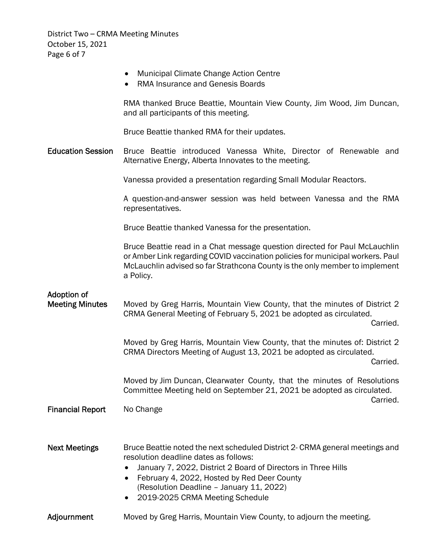District Two – CRMA Meeting Minutes October 15, 2021 Page 6 of 7

|                                       | <b>Municipal Climate Change Action Centre</b><br>RMA Insurance and Genesis Boards                                                                                                                                                                                                                                                 |
|---------------------------------------|-----------------------------------------------------------------------------------------------------------------------------------------------------------------------------------------------------------------------------------------------------------------------------------------------------------------------------------|
|                                       | RMA thanked Bruce Beattie, Mountain View County, Jim Wood, Jim Duncan,<br>and all participants of this meeting.                                                                                                                                                                                                                   |
|                                       | Bruce Beattie thanked RMA for their updates.                                                                                                                                                                                                                                                                                      |
| <b>Education Session</b>              | Bruce Beattie introduced Vanessa White, Director of Renewable and<br>Alternative Energy, Alberta Innovates to the meeting.                                                                                                                                                                                                        |
|                                       | Vanessa provided a presentation regarding Small Modular Reactors.                                                                                                                                                                                                                                                                 |
|                                       | A question-and-answer session was held between Vanessa and the RMA<br>representatives.                                                                                                                                                                                                                                            |
|                                       | Bruce Beattie thanked Vanessa for the presentation.                                                                                                                                                                                                                                                                               |
|                                       | Bruce Beattie read in a Chat message question directed for Paul McLauchlin<br>or Amber Link regarding COVID vaccination policies for municipal workers. Paul<br>McLauchlin advised so far Strathcona County is the only member to implement<br>a Policy.                                                                          |
| Adoption of<br><b>Meeting Minutes</b> | Moved by Greg Harris, Mountain View County, that the minutes of District 2<br>CRMA General Meeting of February 5, 2021 be adopted as circulated.<br>Carried.                                                                                                                                                                      |
|                                       | Moved by Greg Harris, Mountain View County, that the minutes of: District 2<br>CRMA Directors Meeting of August 13, 2021 be adopted as circulated.<br>Carried.                                                                                                                                                                    |
|                                       | Moved by Jim Duncan, Clearwater County, that the minutes of Resolutions<br>Committee Meeting held on September 21, 2021 be adopted as circulated.<br>Carried.                                                                                                                                                                     |
| <b>Financial Report</b>               | No Change                                                                                                                                                                                                                                                                                                                         |
|                                       |                                                                                                                                                                                                                                                                                                                                   |
| <b>Next Meetings</b>                  | Bruce Beattie noted the next scheduled District 2- CRMA general meetings and<br>resolution deadline dates as follows:<br>January 7, 2022, District 2 Board of Directors in Three Hills<br>February 4, 2022, Hosted by Red Deer County<br>$\bullet$<br>(Resolution Deadline - January 11, 2022)<br>2019-2025 CRMA Meeting Schedule |
| Adjournment                           | Moved by Greg Harris, Mountain View County, to adjourn the meeting.                                                                                                                                                                                                                                                               |